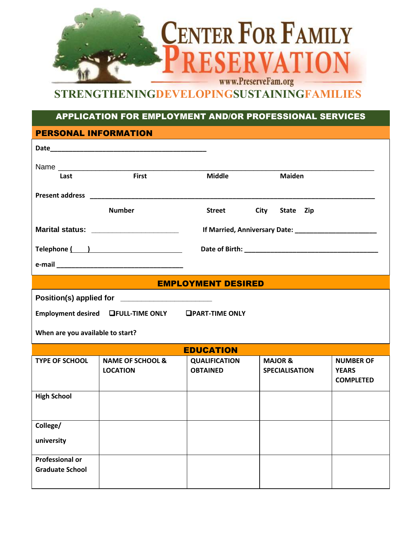

## **STRENGTHENINGDEVELOPINGSUSTAININGFAMILIES**

## APPLICATION FOR EMPLOYMENT AND/OR PROFESSIONAL SERVICES

| <b>PERSONAL INFORMATION</b>                      |                                                    |                           |                          |                  |
|--------------------------------------------------|----------------------------------------------------|---------------------------|--------------------------|------------------|
|                                                  |                                                    |                           |                          |                  |
|                                                  |                                                    |                           |                          |                  |
| Last                                             | <b>First</b>                                       | <b>Middle</b>             | <b>Maiden</b>            |                  |
|                                                  |                                                    |                           |                          |                  |
|                                                  |                                                    |                           |                          |                  |
|                                                  | <b>Number</b>                                      | <b>Street</b>             | <b>City</b><br>State Zip |                  |
|                                                  |                                                    |                           |                          |                  |
|                                                  | Marital status: ________________________           |                           |                          |                  |
|                                                  | Telephone ( )                                      |                           |                          |                  |
|                                                  |                                                    |                           |                          |                  |
|                                                  |                                                    |                           |                          |                  |
|                                                  |                                                    | <b>EMPLOYMENT DESIRED</b> |                          |                  |
|                                                  | Position(s) applied for ________________________   |                           |                          |                  |
|                                                  | Employment desired LFULL-TIME ONLY DPART-TIME ONLY |                           |                          |                  |
|                                                  |                                                    |                           |                          |                  |
| When are you available to start?                 |                                                    |                           |                          |                  |
|                                                  |                                                    | <b>EDUCATION</b>          |                          |                  |
| <b>TYPE OF SCHOOL</b>                            | <b>NAME OF SCHOOL &amp;</b>                        | <b>QUALIFICATION</b>      | <b>MAJOR &amp;</b>       | <b>NUMBER OF</b> |
|                                                  | <b>LOCATION</b>                                    | <b>OBTAINED</b>           | <b>SPECIALISATION</b>    | <b>YEARS</b>     |
|                                                  |                                                    |                           |                          | <b>COMPLETED</b> |
| <b>High School</b>                               |                                                    |                           |                          |                  |
|                                                  |                                                    |                           |                          |                  |
|                                                  |                                                    |                           |                          |                  |
| College/                                         |                                                    |                           |                          |                  |
| university                                       |                                                    |                           |                          |                  |
|                                                  |                                                    |                           |                          |                  |
| <b>Professional or</b><br><b>Graduate School</b> |                                                    |                           |                          |                  |
|                                                  |                                                    |                           |                          |                  |
|                                                  |                                                    |                           |                          |                  |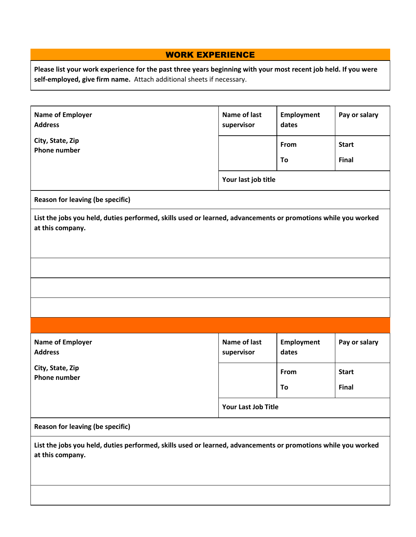## WORK EXPERIENCE

**Please list your work experience for the past three years beginning with your most recent job held. If you were self-employed, give firm name.** Attach additional sheets if necessary.

| <b>Name of Employer</b><br><b>Address</b><br>City, State, Zip                                                                     | Name of last<br>supervisor | <b>Employment</b><br>dates | Pay or salary |  |
|-----------------------------------------------------------------------------------------------------------------------------------|----------------------------|----------------------------|---------------|--|
| <b>Phone number</b>                                                                                                               |                            | From                       | <b>Start</b>  |  |
|                                                                                                                                   |                            | To                         | <b>Final</b>  |  |
|                                                                                                                                   | Your last job title        |                            |               |  |
| <b>Reason for leaving (be specific)</b>                                                                                           |                            |                            |               |  |
| List the jobs you held, duties performed, skills used or learned, advancements or promotions while you worked<br>at this company. |                            |                            |               |  |
|                                                                                                                                   |                            |                            |               |  |
|                                                                                                                                   |                            |                            |               |  |
|                                                                                                                                   |                            |                            |               |  |
|                                                                                                                                   |                            |                            |               |  |
| <b>Name of Employer</b><br><b>Address</b>                                                                                         | Name of last<br>supervisor | <b>Employment</b><br>dates | Pay or salary |  |
| City, State, Zip                                                                                                                  |                            | From                       | <b>Start</b>  |  |
| <b>Phone number</b>                                                                                                               |                            | To                         | Final         |  |
|                                                                                                                                   | Your Last Job Title        |                            |               |  |
| <b>Reason for leaving (be specific)</b>                                                                                           |                            |                            |               |  |
| List the jobs you held, duties performed, skills used or learned, advancements or promotions while you worked<br>at this company. |                            |                            |               |  |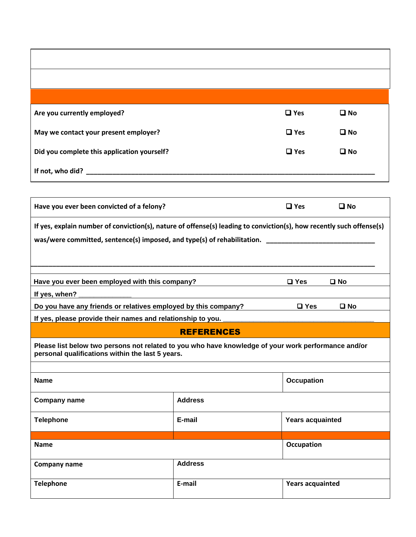| Are you currently employed?                 | $\Box$ Yes | $\square$ No |
|---------------------------------------------|------------|--------------|
| May we contact your present employer?       | $\Box$ Yes | $\square$ No |
| Did you complete this application yourself? | $\Box$ Yes | $\square$ No |
| If not, who did?                            |            |              |

| Have you ever been convicted of a felony?                                                                                                                                                                               |                   | $\Box$ Yes              | $\square$ No |
|-------------------------------------------------------------------------------------------------------------------------------------------------------------------------------------------------------------------------|-------------------|-------------------------|--------------|
| If yes, explain number of conviction(s), nature of offense(s) leading to conviction(s), how recently such offense(s)                                                                                                    |                   |                         |              |
| was/were committed, sentence(s) imposed, and type(s) of rehabilitation.                                                                                                                                                 |                   |                         |              |
|                                                                                                                                                                                                                         |                   |                         |              |
| Have you ever been employed with this company?                                                                                                                                                                          |                   | $\square$ Yes           | $\square$ No |
| If yes, when?                                                                                                                                                                                                           |                   |                         |              |
| <u> 1989 - Johann Stein, mars an deutscher Stein und der Stein und der Stein und der Stein und der Stein und der</u><br>Do you have any friends or relatives employed by this company?<br>$\square$ Yes<br>$\square$ No |                   |                         |              |
| If yes, please provide their names and relationship to you.                                                                                                                                                             |                   |                         |              |
|                                                                                                                                                                                                                         | <b>REFERENCES</b> |                         |              |
| Please list below two persons not related to you who have knowledge of your work performance and/or<br>personal qualifications within the last 5 years.                                                                 |                   |                         |              |
|                                                                                                                                                                                                                         |                   |                         |              |
| <b>Name</b>                                                                                                                                                                                                             |                   | <b>Occupation</b>       |              |
| <b>Company name</b>                                                                                                                                                                                                     | <b>Address</b>    |                         |              |
| <b>Telephone</b>                                                                                                                                                                                                        | E-mail            | <b>Years acquainted</b> |              |
|                                                                                                                                                                                                                         |                   |                         |              |
| <b>Name</b>                                                                                                                                                                                                             |                   | <b>Occupation</b>       |              |
| Company name                                                                                                                                                                                                            | <b>Address</b>    |                         |              |
| <b>Telephone</b>                                                                                                                                                                                                        | E-mail            | <b>Years acquainted</b> |              |